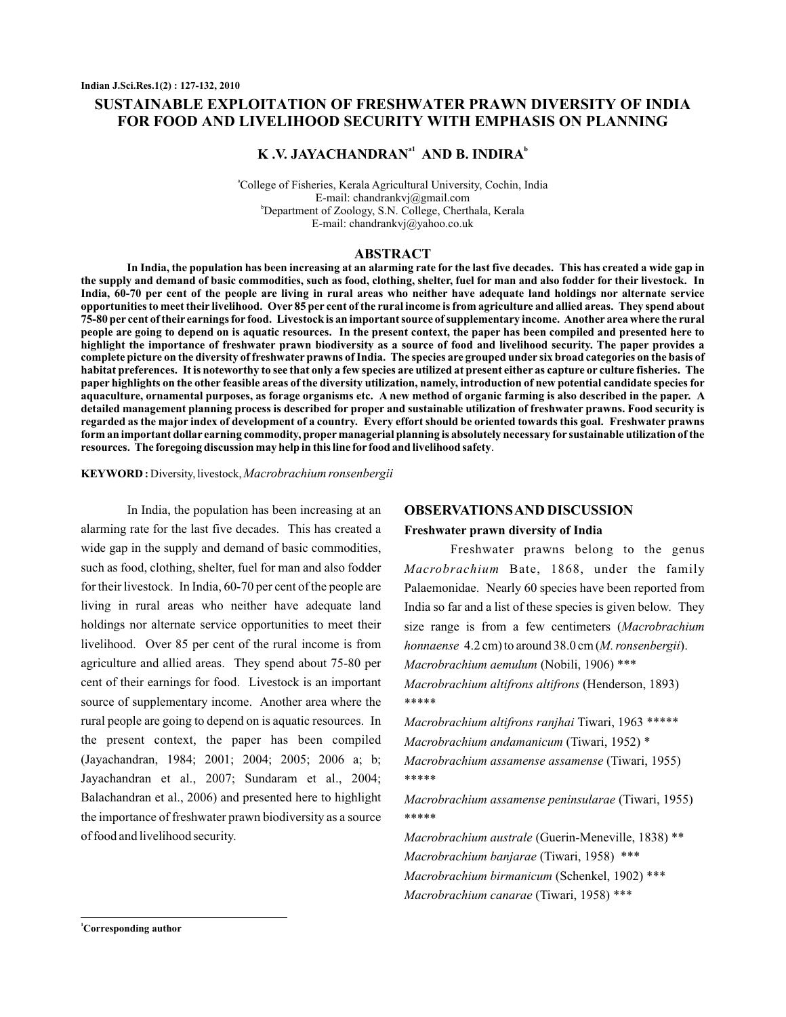# **SUSTAINABLE EXPLOITATION OF FRESHWATER PRAWN DIVERSITY OF INDIA FOR FOOD AND LIVELIHOOD SECURITY WITH EMPHASIS ON PLANNING**

# **K** .V. JAYACHANDRAN<sup>al</sup> AND B. INDIRA<sup>b</sup>

a College of Fisheries, Kerala Agricultural University, Cochin, India b Department of Zoology, S.N. College, Cherthala, Kerala E-mail: chandrankvj@gmail.com E-mail: chandrankvj@yahoo.co.uk

#### **ABSTRACT**

**In India, the population has been increasing at an alarming rate for the last five decades. This has created a wide gap in the supply and demand of basic commodities, such as food, clothing, shelter, fuel for man and also fodder for their livestock. In India, 60-70 per cent of the people are living in rural areas who neither have adequate land holdings nor alternate service opportunities to meet their livelihood. Over 85 per cent of the rural income is from agriculture and allied areas. They spend about 75-80 per cent of their earnings for food. Livestock is an important source of supplementary income. Another area where the rural people are going to depend on is aquatic resources. In the present context, the paper has been compiled and presented here to highlight the importance of freshwater prawn biodiversity as a source of food and livelihood security. The paper provides a complete picture on the diversity of freshwater prawns of India. The species are grouped under six broad categories on the basis of habitat preferences. It is noteworthy to see that only a few species are utilized at present either as capture or culture fisheries. The paper highlights on the other feasible areas of the diversity utilization, namely, introduction of new potential candidate species for aquaculture, ornamental purposes, as forage organisms etc. A new method of organic farming is also described in the paper. A detailed management planning process is described for proper and sustainable utilization of freshwater prawns. Food security is regarded as the major index of development of a country. Every effort should be oriented towards this goal. Freshwater prawns form an important dollar earning commodity, proper managerial planning is absolutely necessary for sustainable utilization of the resources. The foregoing discussion may help in this line for food and livelihood safety**.

**KEYWORD :** Diversity, livestock,*Macrobrachium ronsenbergii*

In India, the population has been increasing at an alarming rate for the last five decades. This has created a wide gap in the supply and demand of basic commodities, such as food, clothing, shelter, fuel for man and also fodder for their livestock. In India, 60-70 per cent of the people are living in rural areas who neither have adequate land holdings nor alternate service opportunities to meet their livelihood. Over 85 per cent of the rural income is from agriculture and allied areas. They spend about 75-80 per cent of their earnings for food. Livestock is an important source of supplementary income. Another area where the rural people are going to depend on is aquatic resources. In the present context, the paper has been compiled (Jayachandran, 1984; 2001; 2004; 2005; 2006 a; b; Jayachandran et al., 2007; Sundaram et al., 2004; Balachandran et al., 2006) and presented here to highlight the importance of freshwater prawn biodiversity as a source of food and livelihood security.

#### **OBSERVATIONSAND DISCUSSION**

#### **Freshwater prawn diversity of India**

Freshwater prawns belong to the genus Macrobrachium Bate, 1868, under the family Palaemonidae. Nearly 60 species have been reported from India so far and a list of these species is given below. They size range is from a few centimeters ( *Macrobrachium honnaense* 4.2 cm) to around 38.0 cm (M. ronsenbergii). (Nobili, 1906) \*\*\* *Macrobrachium aemulum* (Henderson, 1893) *Macrobrachium altifrons altifrons* \*\*\*\*\*

Macrobrachium altifrons ranjhai Tiwari, 1963 \*\*\*\*\* (Tiwari, 1952) \* *Macrobrachium andamanicum* (Tiwari, 1955) *Macrobrachium assamense assamense* \*\*\*\*\*

(Tiwari, 1955) *Macrobrachium assamense peninsularae* \*\*\*\*\*

(Guerin-Meneville, 1838) \*\* *Macrobrachium australe* (Tiwari, 1958) \*\*\* *Macrobrachium banjarae* (Schenkel, 1902) \*\*\* *Macrobrachium birmanicum* (Tiwari, 1958) \*\*\* *Macrobrachium canarae*

**<sup>1</sup>Corresponding author**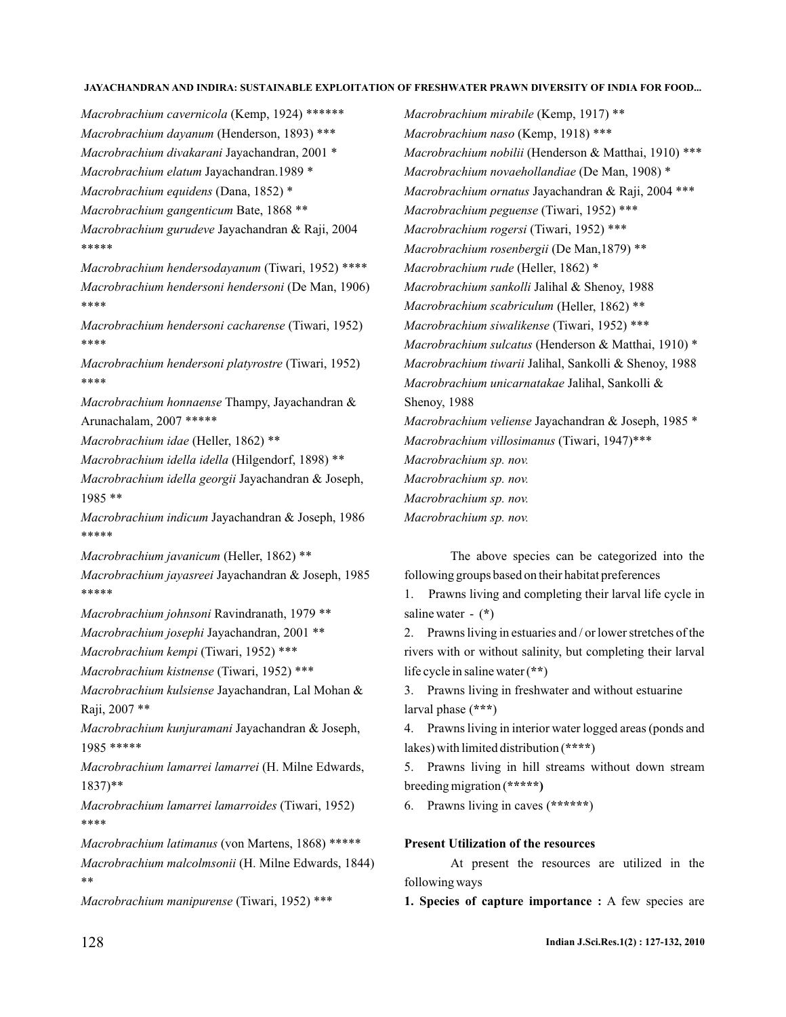*Macrobrachium cavernicola* (Kemp, 1924) \*\*\*\*\*\* *Macrobrachium dayanum* (Henderson, 1893) \*\*\* *Macrobrachium divakarani* Jayachandran, 2001 \* *Macrobrachium elatum* Jayachandran.1989 \* *Macrobrachium equidens* (Dana, 1852) \* *Macrobrachium gangenticum* Bate, 1868 \*\* *Macrobrachium gurudeve* Jayachandran & Raji, 2004 *Macrobrachium hendersodayanum* (Tiwari, 1952) \*\*\*\* *Macrobrachium hendersoni hendersoni* (De Man, 1906) *Macrobrachium hendersoni cacharense* (Tiwari, 1952) *Macrobrachium hendersoni platyrostre* (Tiwari, 1952) *Macrobrachium honnaense* Thampy, Jayachandran & *Macrobrachium idae* (Heller, 1862) \*\* *Macrobrachium idella idella* (Hilgendorf, 1898) \*\* *Macrobrachium idella georgii* Jayachandran & Joseph, *Macrobrachium indicum* Jayachandran & Joseph, 1986 *Macrobrachium javanicum* (Heller, 1862) \*\* *Macrobrachium jayasreei* Jayachandran & Joseph, 1985 *Macrobrachium johnsoni* Ravindranath, 1979 \*\* *Macrobrachium josephi* Jayachandran, 2001 \*\* *Macrobrachium kempi* (Tiwari, 1952) \*\*\* *Macrobrachium kistnense* (Tiwari, 1952) \*\*\* *Macrobrachium kulsiense* Jayachandran, Lal Mohan & *Macrobrachium kunjuramani* Jayachandran & Joseph, *Macrobrachium lamarrei lamarrei* (H. Milne Edwards, *Macrobrachium lamarrei lamarroides* (Tiwari, 1952) *Macrobrachium latimanus* (von Martens, 1868) \*\*\*\*\* *Macrobrachium malcolmsonii* (H. Milne Edwards, 1844) *Macrobrachium manipurense* (Tiwari, 1952) \*\*\* \*\*\*\*\* \*\*\*\* \*\*\*\* \*\*\*\* Arunachalam, 2007 \*\*\*\*\* 1985 \*\* \*\*\*\*\* \*\*\*\*\* Raji, 2007 \*\* 1985 \*\*\*\*\* 1837)\*\* \*\*\*\* \*\*

*Macrobrachium mirabile* (Kemp, 1917) \*\* *Macrobrachium naso* (Kemp, 1918) \*\*\* *Macrobrachium nobilii* (Henderson & Matthai, 1910) \*\*\* *Macrobrachium novaehollandiae* (De Man, 1908) \* *Macrobrachium ornatus* Jayachandran & Raji, 2004 \*\*\* *Macrobrachium peguense* (Tiwari, 1952) \*\*\* *Macrobrachium rogersi* (Tiwari, 1952) \*\*\* *Macrobrachium rosenbergii* (De Man,1879) \*\* *Macrobrachium rude* (Heller, 1862) \* *Macrobrachium sankolli* Jalihal & Shenoy, 1988 *Macrobrachium scabriculum* (Heller, 1862) \*\* *Macrobrachium siwalikense* (Tiwari, 1952) \*\*\* *Macrobrachium sulcatus* (Henderson & Matthai, 1910) \* *Macrobrachium tiwarii* Jalihal, Sankolli & Shenoy, 1988 *Macrobrachium unicarnatakae* Jalihal, Sankolli & *Macrobrachium veliense* Jayachandran & Joseph, 1985 \* *Macrobrachium villosimanus* (Tiwari, 1947)\*\*\* *Macrobrachium sp. nov. Macrobrachium sp. nov. Macrobrachium sp. nov. Macrobrachium sp. nov.* Shenoy, 1988

The above species can be categorized into the following groups based on their habitat preferences

1. Prawns living and completing their larval life cycle in saline water -  $(*)$ 

2. Prawns living in estuaries and / or lower stretches of the rivers with or without salinity, but completing their larval life cycle in saline water (\*\*)

3. Prawns living in freshwater and without estuarine larval phase (\*\*\*)

4. Prawns living in interior water logged areas (ponds and lakes) with limited distribution (\*\*\*\*)

5. Prawns living in hill streams without down stream breeding migration ( **\*\*\*\*\*)**

6. Prawns living in caves (\*\*\*\*\*\*)

## **Present Utilization of the resources**

At present the resources are utilized in the following ways

1. Species of capture importance : A few species are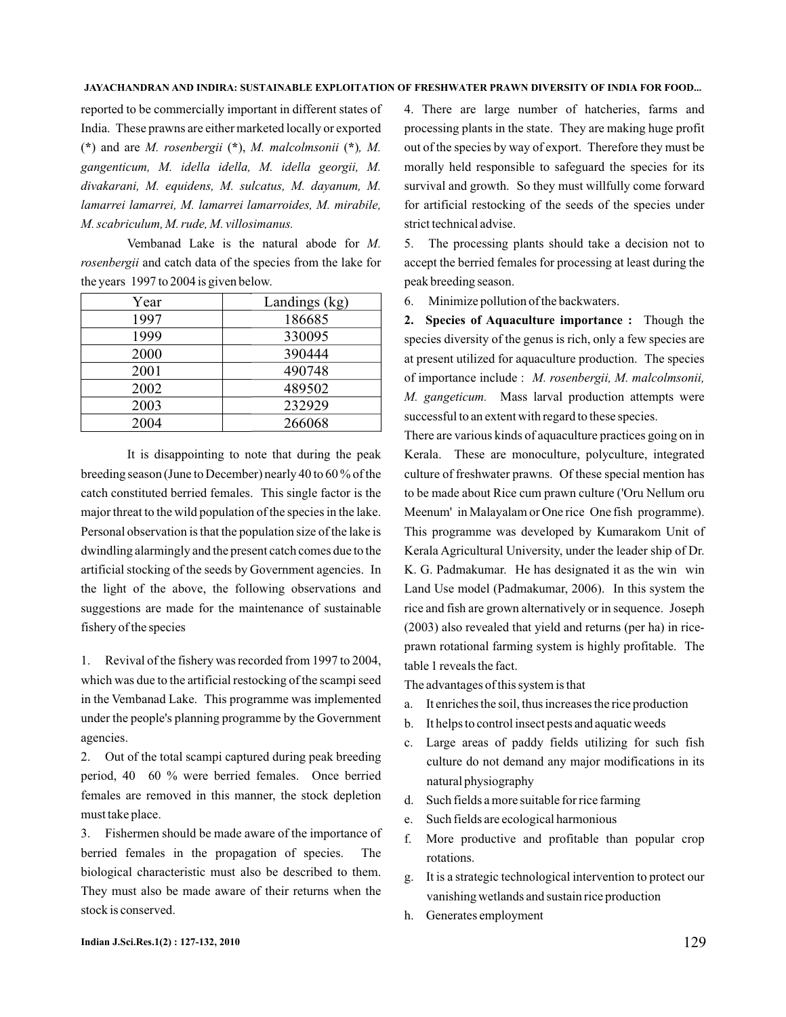reported to be commercially important in different states of India. These prawns are either marketed locally or exported (\*) and are M. rosenbergii (\*), M. malcolmsonii (\*), M. *gangenticum, M. idella idella, M. idella georgii, M. divakarani, M. equidens, M. sulcatus, M. dayanum, M. lamarrei lamarrei, M. lamarrei lamarroides, M. mirabile, M. scabriculum, M. rude, M. villosimanus.*

Vembanad Lake is the natural abode for *M.* rosenbergii and catch data of the species from the lake for the years 1997 to 2004 is given below.

| Year | Landings (kg) |  |  |
|------|---------------|--|--|
| 1997 | 186685        |  |  |
| 1999 | 330095        |  |  |
| 2000 | 390444        |  |  |
| 2001 | 490748        |  |  |
| 2002 | 489502        |  |  |
| 2003 | 232929        |  |  |
| 2004 | 266068        |  |  |

It is disappointing to note that during the peak breeding season (June to December) nearly 40 to 60 % of the catch constituted berried females. This single factor is the major threat to the wild population of the species in the lake. Personal observation is that the population size of the lake is dwindling alarmingly and the present catch comes due to the artificial stocking of the seeds by Government agencies. In the light of the above, the following observations and suggestions are made for the maintenance of sustainable fishery of the species

1. Revival of the fishery was recorded from 1997 to 2004, which was due to the artificial restocking of the scampi seed in the Vembanad Lake. This programme was implemented under the people's planning programme by the Government agencies.

2. Out of the total scampi captured during peak breeding period, 40 60 % were berried females. Once berried females are removed in this manner, the stock depletion must take place.

3. Fishermen should be made aware of the importance of berried females in the propagation of species. The biological characteristic must also be described to them. They must also be made aware of their returns when the stock is conserved.

4. There are large number of hatcheries, farms and processing plants in the state. They are making huge profit out of the species by way of export. Therefore they must be morally held responsible to safeguard the species for its survival and growth. So they must willfully come forward for artificial restocking of the seeds of the species under strict technical advise.

5. The processing plants should take a decision not to accept the berried females for processing at least during the peak breeding season.

6. Minimize pollution of the backwaters.

2. Species of Aquaculture importance : Though the species diversity of the genus is rich, only a few species are at present utilized for aquaculture production. The species of importance include : *M. rosenbergii, M. malcolmsonii,* M. gangeticum. Mass larval production attempts were successful to an extent with regard to these species.

There are various kinds of aquaculture practices going on in Kerala. These are monoculture, polyculture, integrated culture of freshwater prawns. Of these special mention has to be made about Rice cum prawn culture ('Oru Nellum oru Meenum' in Malayalam or One rice One fish programme). This programme was developed by Kumarakom Unit of Kerala Agricultural University, under the leader ship of Dr. K. G. Padmakumar. He has designated it as the win win Land Use model (Padmakumar, 2006). In this system the rice and fish are grown alternatively or in sequence. Joseph (2003) also revealed that yield and returns (per ha) in riceprawn rotational farming system is highly profitable. The table 1 reveals the fact.

The advantages of this system is that

- a. It enriches the soil, thus increases the rice production
- b. It helps to control insect pests and aquatic weeds
- c. Large areas of paddy fields utilizing for such fish culture do not demand any major modifications in its natural physiography
- d. Such fields a more suitable for rice farming
- e. Such fields are ecological harmonious
- f. More productive and profitable than popular crop rotations.
- g. It is a strategic technological intervention to protect our vanishing wetlands and sustain rice production
- h. Generates employment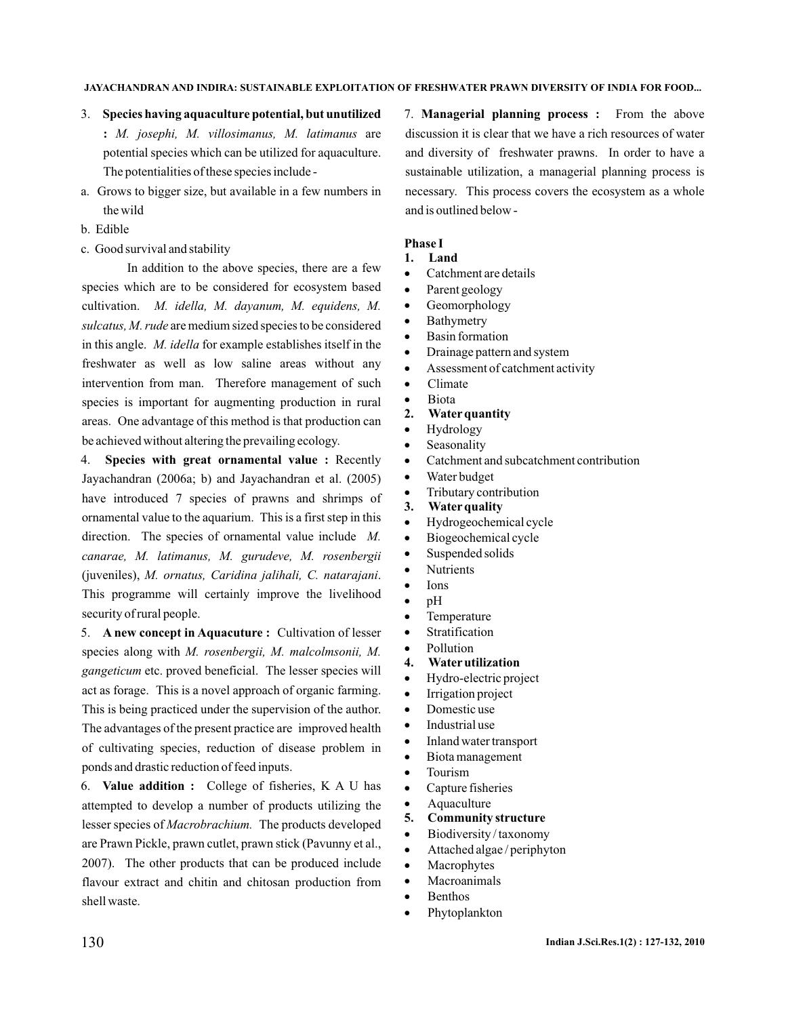- 3. **Species having aquaculture potential, but unutilized** : M. josephi, M. villosimanus, M. latimanus are potential species which can be utilized for aquaculture. The potentialities of these species include -
- a. Grows to bigger size, but available in a few numbers in the wild
- b. Edible
- c. Good survival and stability

In addition to the above species, there are a few species which are to be considered for ecosystem based cultivation. *M. idella, M. dayanum, M. equidens, M.* sulcatus, M. rude are medium sized species to be considered in this angle. M. *idella* for example establishes itself in the freshwater as well as low saline areas without any intervention from man. Therefore management of such species is important for augmenting production in rural areas. One advantage of this method is that production can be achieved without altering the prevailing ecology.

4. Species with great ornamental value : Recently Jayachandran (2006a; b) and Jayachandran et al. (2005) have introduced 7 species of prawns and shrimps of ornamental value to the aquarium. This is a first step in this direction. The species of ornamental value include *M.* (juveniles), M. ornatus, Caridina jalihali, C. natarajani. This programme will certainly improve the livelihood security of rural people. *canarae, M. latimanus, M. gurudeve, M. rosenbergii*

5. A new concept in Aquacuture: Cultivation of lesser species along with *M. rosenbergii, M. malcolmsonii, M.* gangeticum etc. proved beneficial. The lesser species will act as forage. This is a novel approach of organic farming. This is being practiced under the supervision of the author. The advantages of the present practice are improved health of cultivating species, reduction of disease problem in ponds and drastic reduction of feed inputs.

6. College of fisheries, K A U has **Value addition :** attempted to develop a number of products utilizing the lesser species of Macrobrachium. The products developed are Prawn Pickle, prawn cutlet, prawn stick (Pavunny et al., 2007). The other products that can be produced include flavour extract and chitin and chitosan production from shell waste.

7. Managerial planning process : From the above discussion it is clear that we have a rich resources of water and diversity of freshwater prawns. In order to have a sustainable utilization, a managerial planning process is necessary. This process covers the ecosystem as a whole and is outlined below -

### **Phase I**

- **1. Land**
- Catchment are details ·
- Parent geology ·
- Geomorphology ·
- Bathymetry ·
- Basin formation ·
- Drainage pattern and system ·
- Assessment of catchment activity ·
- Climate ·
- Biota ·
- **2. Water quantity**
- Hydrology ·
- Seasonality ·
- Catchment and subcatchment contribution ·
- Water budget ·
- Tributary contribution ·
- **3. Water quality**
- Hydrogeochemical cycle ·
- Biogeochemical cycle ·
- Suspended solids ·
- Nutrients ·
- Ions ·
- pH ·
- Temperature ·
- Stratification ·
- Pollution ·
- **4. Water utilization**
- Hydro-electric project ·
- Irrigation project ·
- Domestic use ·
- Industrial use ·
- Inland water transport ·
- Biota management ·
- Tourism ·
- Capture fisheries ·
- Aquaculture ·
- **5. Community structure**
- Biodiversity / taxonomy ·
- Attached algae / periphyton ·
- Macrophytes ·
- Macroanimals ·
- Benthos ·
- Phytoplankton ·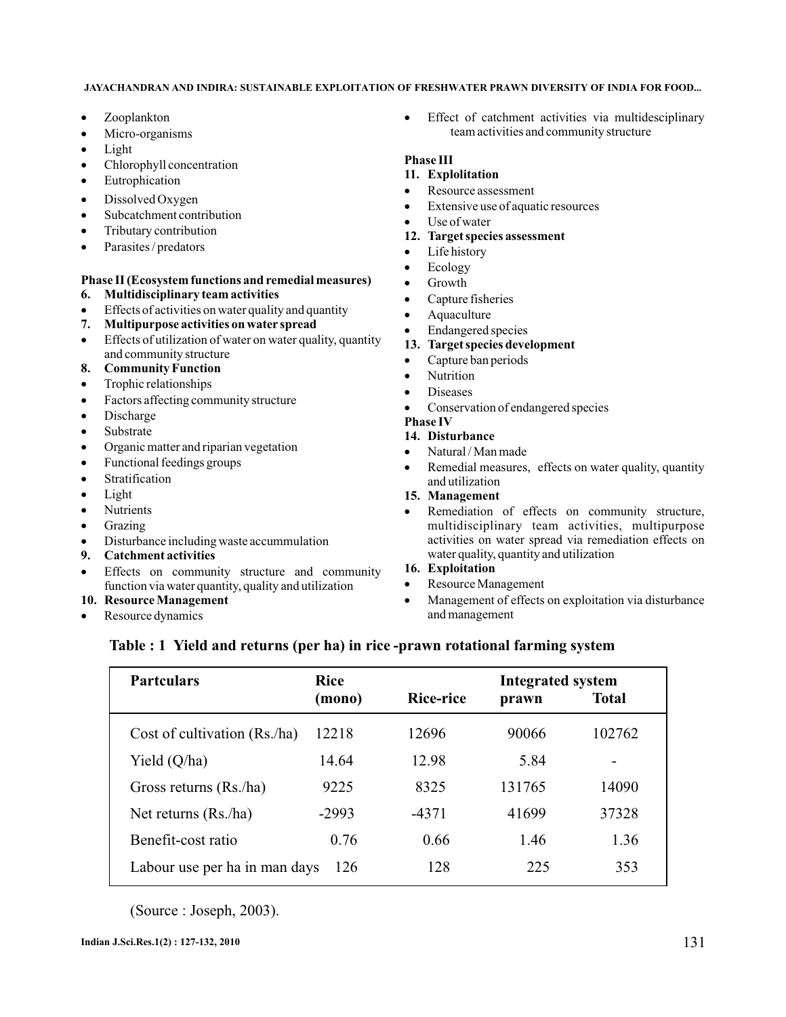- · Zooplankton
- · Micro-organisms
- · Light
- · Chlorophyll concentration
- · Eutrophication
- · Dissolved Oxygen
- · Subcatchment contribution
- · Tributary contribution
- · Parasites / predators

### **Phase II (Ecosystem functions and remedial measures) 6. Multidisciplinary team activities**

- · Effects of activities on water quality and quantity
- **7. Multipurpose activities on water spread**
- · Effects of utilization of water on water quality, quantity and community structure
- **8. Community Function**
- · Trophic relationships
- · Factors affecting community structure
- · Discharge
- · Substrate
- · Organic matter and riparian vegetation
- · Functional feedings groups
- · Stratification
- · Light
- · Nutrients
- · Grazing
- · Disturbance including waste accummulation
- **9. Catchment activities**
- · Effects on community structure and community function via water quantity, quality and utilization

## **10. Resource Management**

· Resource dynamics · Effect of catchment activities via multidesciplinary team activities and community structure

### **Phase III**

- **11. Explolitation**
- · Resource assessment
- · Extensive use of aquatic resources
- · Use of water

## **12. Target species assessment**

- · Life history
- · Ecology
- · Growth
- · Capture fisheries
- · Aquaculture
- · Endangered species

## **13. Target species development**

- · Capture ban periods
- · Nutrition
- · Diseases
- · Conservation of endangered species

## **Phase IV**

# **14. Disturbance**

- · Natural / Man made
- · Remedial measures, effects on water quality, quantity and utilization

## **15. Management**

· Remediation of effects on community structure, multidisciplinary team activities, multipurpose activities on water spread via remediation effects on water quality, quantity and utilization

### **16. Exploitation**

- · Resource Management
- · Management of effects on exploitation via disturbance and management

# **Table : 1 Yield and returns (per ha) in rice -prawn rotational farming system**

| <b>Partculars</b>             | <b>Rice</b><br>(mono) | <b>Integrated system</b><br>Rice-rice<br><b>Total</b><br>prawn |        |        |
|-------------------------------|-----------------------|----------------------------------------------------------------|--------|--------|
| Cost of cultivation (Rs./ha)  | 12218                 | 12696                                                          | 90066  | 102762 |
| Yield $(Q/ha)$                | 14.64                 | 12.98                                                          | 5.84   |        |
| Gross returns (Rs./ha)        | 9225                  | 8325                                                           | 131765 | 14090  |
| Net returns $(Rs/ha)$         | $-2993$               | -4371                                                          | 41699  | 37328  |
| Benefit-cost ratio            | 0.76                  | 0.66                                                           | 1.46   | 1.36   |
| Labour use per ha in man days | 126                   | 128                                                            | 225    | 353    |

(Source : Joseph, 2003).